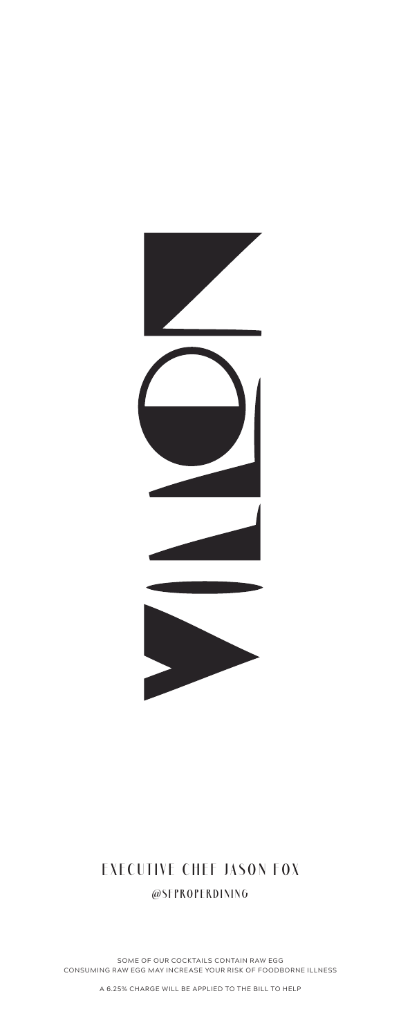

#### **EXECUTIVE CHEF JASON FOX @SFPROPERDINING**

SOME OF OUR COCKTAILS CONTAIN RAW EGG CONSUMING RAW EGG MAY INCREASE YOUR RISK OF FOODBORNE ILLNESS

A 6.25% CHARGE WILL BE APPLIED TO THE BILL TO HELP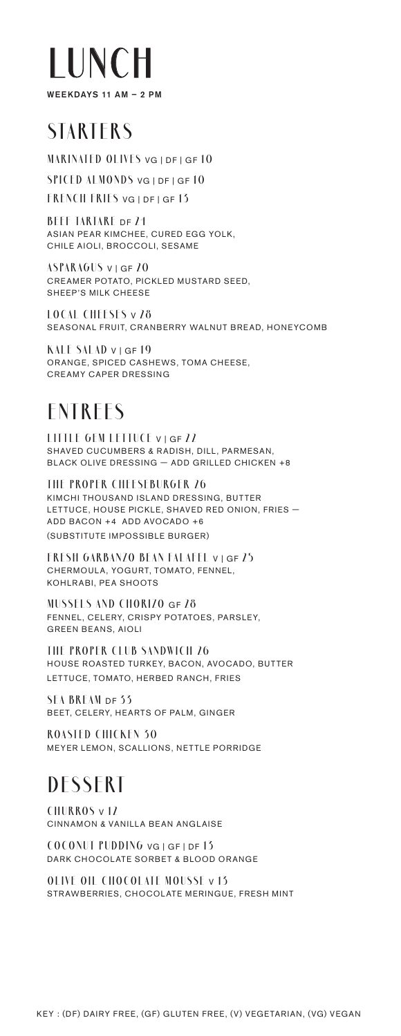

## **STARTERS**

**MARINATED OLIVES** VG | DF | GF **10**

**SPICED ALMONDS** VG | DF | GF **10**

**FRENCH FRIES** VG | DF | GF **13**

**BEEF TARTARE** DF **24** ASIAN PEAR KIMCHEE, CURED EGG YOLK, CHILE AIOLI, BROCCOLI, SESAME

**ASPARAGUS** V | GF **20** CREAMER POTATO, PICKLED MUSTARD SEED, SHEEP'S MILK CHEESE

**LOCAL CHEESES** V **28** SEASONAL FRUIT, CRANBERRY WALNUT BREAD, HONEYCOMB

**KALE SALAD** V | GF **19** ORANGE, SPICED CASHEWS, TOMA CHEESE, CREAMY CAPER DRESSING

#### **ENTREES**

**LITTLE GEM LETTUCE** V | GF **22** SHAVED CUCUMBERS & RADISH, DILL, PARMESAN, BLACK OLIVE DRESSING — ADD GRILLED CHICKEN +8

**THE PROPER CHEESEBURGER 26** KIMCHI THOUSAND ISLAND DRESSING, BUTTER LETTUCE, HOUSE PICKLE, SHAVED RED ONION, FRIES -ADD BACON +4 ADD AVOCADO +6 (SUBSTITUTE IMPOSSIBLE BURGER)

**FRESH GARBANZO BEAN FALAFEL** V | GF **25** CHERMOULA, YOGURT, TOMATO, FENNEL, KOHLRABI, PEA SHOOTS

**MUSSELS AND CHORIZO** GF **28** FENNEL, CELERY, CRISPY POTATOES, PARSLEY, GREEN BEANS, AIOLI

**THE PROPER CLUB SANDWICH 26** HOUSE ROASTED TURKEY, BACON, AVOCADO, BUTTER LETTUCE, TOMATO, HERBED RANCH, FRIES

**SEA BREAM** DF **33** BEET, CELERY, HEARTS OF PALM, GINGER

**ROASTED CHICKEN 30** MEYER LEMON, SCALLIONS, NETTLE PORRIDGE

## **DESSERT**

**CHURROS** V **12** CINNAMON & VANILLA BEAN ANGLAISE

**COCONUT PUDDING** VG | GF | DF **13** DARK CHOCOLATE SORBET & BLOOD ORANGE

**OLIVE OIL CHOCOLATE MOUSSE** V **13** STRAWBERRIES, CHOCOLATE MERINGUE, FRESH MINT